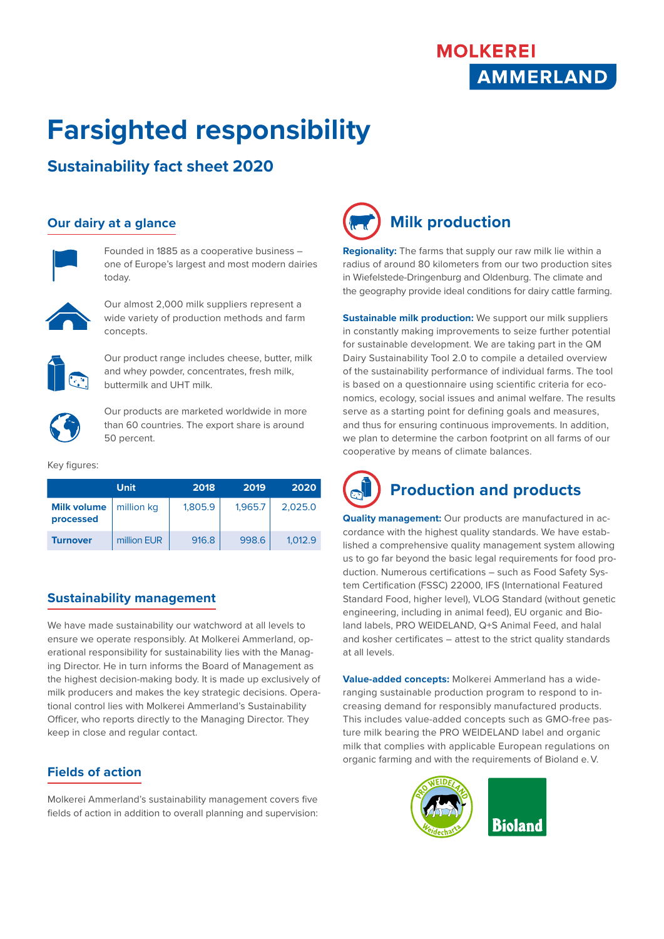## **MOLKEREI AMMERLAND**

# **Farsighted responsibility**

### **Sustainability fact sheet 2020**

#### **Our dairy at a glance**



Founded in 1885 as a cooperative business – one of Europe's largest and most modern dairies today.



Our almost 2,000 milk suppliers represent a wide variety of production methods and farm concepts.



Our product range includes cheese, butter, milk and whey powder, concentrates, fresh milk, buttermilk and UHT milk.



Our products are marketed worldwide in more than 60 countries. The export share is around 50 percent.

#### Key figures:

|                                 | <b>Unit</b> | 2018    | 2019    | 2020    |
|---------------------------------|-------------|---------|---------|---------|
| <b>Milk volume</b><br>processed | million kg  | 1,805.9 | 1,965.7 | 2.025.0 |
| Turnover                        | million EUR | 916.8   | 998.6   | 1.012.9 |

#### **Sustainability management**

We have made sustainability our watchword at all levels to ensure we operate responsibly. At Molkerei Ammerland, operational responsibility for sustainability lies with the Managing Director. He in turn informs the Board of Management as the highest decision-making body. It is made up exclusively of milk producers and makes the key strategic decisions. Operational control lies with Molkerei Ammerland's Sustainability Officer, who reports directly to the Managing Director. They keep in close and regular contact.

#### **Fields of action**

Molkerei Ammerland's sustainability management covers five fields of action in addition to overall planning and supervision:



**Regionality:** The farms that supply our raw milk lie within a radius of around 80 kilometers from our two production sites in Wiefelstede-Dringenburg and Oldenburg. The climate and the geography provide ideal conditions for dairy cattle farming.

**Sustainable milk production:** We support our milk suppliers in constantly making improvements to seize further potential for sustainable development. We are taking part in the QM Dairy Sustainability Tool 2.0 to compile a detailed overview of the sustainability performance of individual farms. The tool is based on a questionnaire using scientific criteria for economics, ecology, social issues and animal welfare. The results serve as a starting point for defining goals and measures, and thus for ensuring continuous improvements. In addition, we plan to determine the carbon footprint on all farms of our cooperative by means of climate balances.



**Quality management:** Our products are manufactured in accordance with the highest quality standards. We have established a comprehensive quality management system allowing us to go far beyond the basic legal requirements for food production. Numerous certifications – such as Food Safety System Certification (FSSC) 22000, IFS (International Featured Standard Food, higher level), VLOG Standard (without genetic engineering, including in animal feed), EU organic and Bioland labels, PRO WEIDELAND, Q+S Animal Feed, and halal and kosher certificates – attest to the strict quality standards at all levels.

**Value-added concepts:** Molkerei Ammerland has a wideranging sustainable production program to respond to increasing demand for responsibly manufactured products. This includes value-added concepts such as GMO-free pasture milk bearing the PRO WEIDELAND label and organic milk that complies with applicable European regulations on organic farming and with the requirements of Bioland e. V.